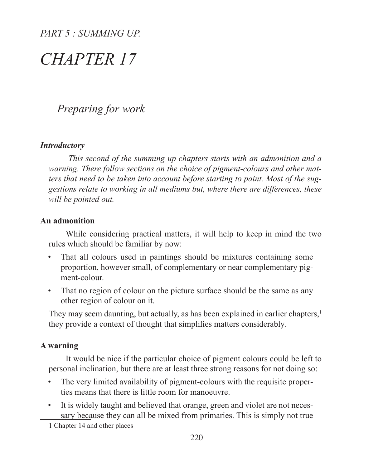# *CHAPTER 17*

## *Preparing for work*

#### *Introductory*

 *This second of the summing up chapters starts with an admonition and a warning. There follow sections on the choice of pigment-colours and other matters that need to be taken into account before starting to paint. Most of the suggestions relate to working in all mediums but, where there are differences, these will be pointed out.*

#### **An admonition**

While considering practical matters, it will help to keep in mind the two rules which should be familiar by now:

- That all colours used in paintings should be mixtures containing some proportion, however small, of complementary or near complementary pigment-colour.
- That no region of colour on the picture surface should be the same as any other region of colour on it.

They may seem daunting, but actually, as has been explained in earlier chapters,<sup>1</sup> they provide a context of thought that simplifies matters considerably.

## **A warning**

It would be nice if the particular choice of pigment colours could be left to personal inclination, but there are at least three strong reasons for not doing so:

- The very limited availability of pigment-colours with the requisite properties means that there is little room for manoeuvre.
- It is widely taught and believed that orange, green and violet are not necessary because they can all be mixed from primaries. This is simply not true

1 Chapter 14 and other places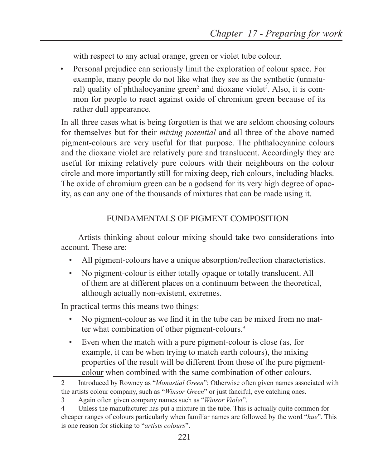with respect to any actual orange, green or violet tube colour.

• Personal prejudice can seriously limit the exploration of colour space. For example, many people do not like what they see as the synthetic (unnatural) quality of phthalocyanine green<sup>2</sup> and dioxane violet<sup>3</sup>. Also, it is common for people to react against oxide of chromium green because of its rather dull appearance.

In all three cases what is being forgotten is that we are seldom choosing colours for themselves but for their *mixing potential* and all three of the above named pigment-colours are very useful for that purpose. The phthalocyanine colours and the dioxane violet are relatively pure and translucent. Accordingly they are useful for mixing relatively pure colours with their neighbours on the colour circle and more importantly still for mixing deep, rich colours, including blacks. The oxide of chromium green can be a godsend for its very high degree of opacity, as can any one of the thousands of mixtures that can be made using it.

## FUNDAMENTALS OF PIGMENT COMPOSITION

Artists thinking about colour mixing should take two considerations into account. These are:

- All pigment-colours have a unique absorption/reflection characteristics.
- No pigment-colour is either totally opaque or totally translucent. All of them are at different places on a continuum between the theoretical, although actually non-existent, extremes.

In practical terms this means two things:

- No pigment-colour as we find it in the tube can be mixed from no matter what combination of other pigment-colours.*<sup>4</sup>*
- Even when the match with a pure pigment-colour is close (as, for example, it can be when trying to match earth colours), the mixing properties of the result will be different from those of the pure pigmentcolour when combined with the same combination of other colours.

<sup>2</sup> Introduced by Rowney as "*Monastial Green*"; Otherwise often given names associated with the artists colour company, such as "*Winsor Green*" or just fanciful, eye catching ones.

<sup>3</sup> Again often given company names such as "*Winsor Violet*".

<sup>4</sup> Unless the manufacturer has put a mixture in the tube. This is actually quite common for cheaper ranges of colours particularly when familiar names are followed by the word "*hue*". This is one reason for sticking to "*artists colours*".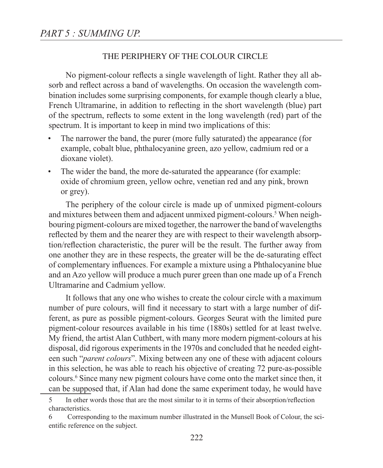## THE PERIPHERY OF THE COLOUR CIRCLE

No pigment-colour reflects a single wavelength of light. Rather they all absorb and reflect across a band of wavelengths. On occasion the wavelength combination includes some surprising components, for example though clearly a blue, French Ultramarine, in addition to reflecting in the short wavelength (blue) part of the spectrum, reflects to some extent in the long wavelength (red) part of the spectrum. It is important to keep in mind two implications of this:

- The narrower the band, the purer (more fully saturated) the appearance (for example, cobalt blue, phthalocyanine green, azo yellow, cadmium red or a dioxane violet).
- The wider the band, the more de-saturated the appearance (for example: oxide of chromium green, yellow ochre, venetian red and any pink, brown or grey).

The periphery of the colour circle is made up of unmixed pigment-colours and mixtures between them and adjacent unmixed pigment-colours.<sup>5</sup> When neighbouring pigment-colours are mixed together, the narrower the band of wavelengths reflected by them and the nearer they are with respect to their wavelength absorption/reflection characteristic, the purer will be the result. The further away from one another they are in these respects, the greater will be the de-saturating effect of complementary influences. For example a mixture using a Phthalocyanine blue and an Azo yellow will produce a much purer green than one made up of a French Ultramarine and Cadmium yellow.

It follows that any one who wishes to create the colour circle with a maximum number of pure colours, will find it necessary to start with a large number of different, as pure as possible pigment-colours. Georges Seurat with the limited pure pigment-colour resources available in his time (1880s) settled for at least twelve. My friend, the artist Alan Cuthbert, with many more modern pigment-colours at his disposal, did rigorous experiments in the 1970s and concluded that he needed eighteen such "*parent colours*". Mixing between any one of these with adjacent colours in this selection, he was able to reach his objective of creating 72 pure-as-possible colours.6 Since many new pigment colours have come onto the market since then, it can be supposed that, if Alan had done the same experiment today, he would have

<sup>5</sup> In other words those that are the most similar to it in terms of their absorption/reflection characteristics.

<sup>6</sup> Corresponding to the maximum number illustrated in the Munsell Book of Colour, the scientific reference on the subject.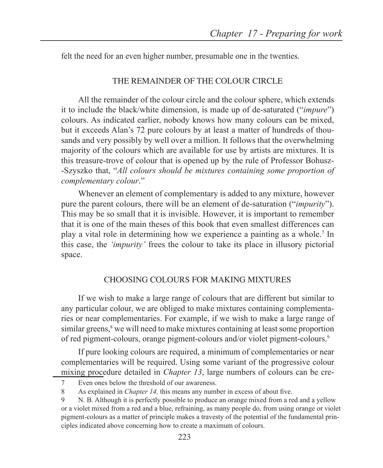felt the need for an even higher number, presumable one in the twenties.

## THE REMAINDER OF THE COLOUR CIRCLE

All the remainder of the colour circle and the colour sphere, which extends it to include the black/white dimension, is made up of de-saturated ("*impure*") colours. As indicated earlier, nobody knows how many colours can be mixed, but it exceeds Alan's 72 pure colours by at least a matter of hundreds of thousands and very possibly by well over a million. It follows that the overwhelming majority of the colours which are available for use by artists are mixtures. It is this treasure-trove of colour that is opened up by the rule of Professor Bohusz- -Szyszko that, "*All colours should be mixtures containing some proportion of complementary colour*."

Whenever an element of complementary is added to any mixture, however pure the parent colours, there will be an element of de-saturation ("*impurity*"). This may be so small that it is invisible. However, it is important to remember that it is one of the main theses of this book that even smallest differences can play a vital role in determining how we experience a painting as a whole.7 In this case, the *'impurity'* frees the colour to take its place in illusory pictorial space.

## CHOOSING COLOURS FOR MAKING MIXTURES

If we wish to make a large range of colours that are different but similar to any particular colour, we are obliged to make mixtures containing complementaries or near complementaries. For example, if we wish to make a large range of similar greens,<sup>8</sup> we will need to make mixtures containing at least some proportion of red pigment-colours, orange pigment-colours and/or violet pigment-colours.9

If pure looking colours are required, a minimum of complementaries or near complementaries will be required. Using some variant of the progressive colour mixing procedure detailed in *Chapter 13*, large numbers of colours can be cre-

<sup>7</sup> Even ones below the threshold of our awareness.

<sup>8</sup> As explained in *Chapter 14,* this means any number in excess of about five.

<sup>9</sup> N. B. Although it is perfectly possible to produce an orange mixed from a red and a yellow or a violet mixed from a red and a blue, refraining, as many people do, from using orange or violet pigment-colours as a matter of principle makes a travesty of the potential of the fundamental principles indicated above concerning how to create a maximum of colours.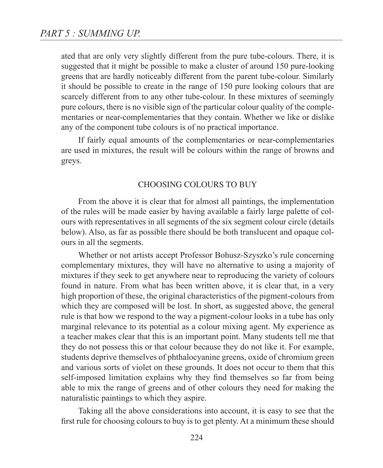ated that are only very slightly different from the pure tube-colours. There, it is suggested that it might be possible to make a cluster of around 150 pure-looking greens that are hardly noticeably different from the parent tube-colour. Similarly it should be possible to create in the range of 150 pure looking colours that are scarcely different from to any other tube-colour. In these mixtures of seemingly pure colours, there is no visible sign of the particular colour quality of the complementaries or near-complementaries that they contain. Whether we like or dislike any of the component tube colours is of no practical importance.

If fairly equal amounts of the complementaries or near-complementaries are used in mixtures, the result will be colours within the range of browns and greys.

#### CHOOSING COLOURS TO BUY

From the above it is clear that for almost all paintings, the implementation of the rules will be made easier by having available a fairly large palette of colours with representatives in all segments of the six segment colour circle (details below). Also, as far as possible there should be both translucent and opaque colours in all the segments.

Whether or not artists accept Professor Bohusz-Szyszko's rule concerning complementary mixtures, they will have no alternative to using a majority of mixtures if they seek to get anywhere near to reproducing the variety of colours found in nature. From what has been written above, it is clear that, in a very high proportion of these, the original characteristics of the pigment-colours from which they are composed will be lost. In short, as suggested above, the general rule is that how we respond to the way a pigment-colour looks in a tube has only marginal relevance to its potential as a colour mixing agent. My experience as a teacher makes clear that this is an important point. Many students tell me that they do not possess this or that colour because they do not like it. For example, students deprive themselves of phthalocyanine greens, oxide of chromium green and various sorts of violet on these grounds. It does not occur to them that this self-imposed limitation explains why they find themselves so far from being able to mix the range of greens and of other colours they need for making the naturalistic paintings to which they aspire.

Taking all the above considerations into account, it is easy to see that the first rule for choosing colours to buy is to get plenty. At a minimum these should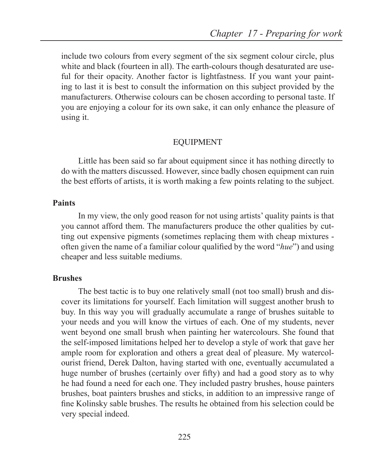include two colours from every segment of the six segment colour circle, plus white and black (fourteen in all). The earth-colours though desaturated are useful for their opacity. Another factor is lightfastness. If you want your painting to last it is best to consult the information on this subject provided by the manufacturers. Otherwise colours can be chosen according to personal taste. If you are enjoying a colour for its own sake, it can only enhance the pleasure of using it.

#### EQUIPMENT

Little has been said so far about equipment since it has nothing directly to do with the matters discussed. However, since badly chosen equipment can ruin the best efforts of artists, it is worth making a few points relating to the subject.

#### **Paints**

In my view, the only good reason for not using artists' quality paints is that you cannot afford them. The manufacturers produce the other qualities by cutting out expensive pigments (sometimes replacing them with cheap mixtures often given the name of a familiar colour qualified by the word "*hue*") and using cheaper and less suitable mediums.

#### **Brushes**

The best tactic is to buy one relatively small (not too small) brush and discover its limitations for yourself. Each limitation will suggest another brush to buy. In this way you will gradually accumulate a range of brushes suitable to your needs and you will know the virtues of each. One of my students, never went beyond one small brush when painting her watercolours. She found that the self-imposed limitations helped her to develop a style of work that gave her ample room for exploration and others a great deal of pleasure. My watercolourist friend, Derek Dalton, having started with one, eventually accumulated a huge number of brushes (certainly over fifty) and had a good story as to why he had found a need for each one. They included pastry brushes, house painters brushes, boat painters brushes and sticks, in addition to an impressive range of fine Kolinsky sable brushes. The results he obtained from his selection could be very special indeed.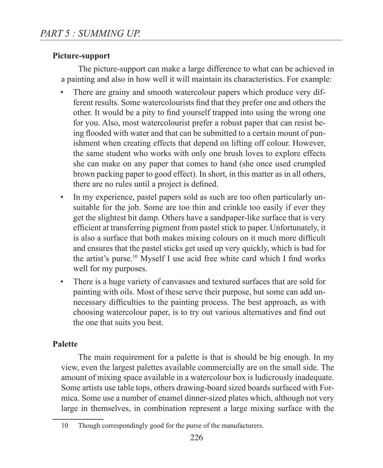## **Picture-support**

The picture-support can make a large difference to what can be achieved in a painting and also in how well it will maintain its characteristics. For example:

- There are grainy and smooth watercolour papers which produce very different results. Some watercolourists find that they prefer one and others the other. It would be a pity to find yourself trapped into using the wrong one for you. Also, most watercolourist prefer a robust paper that can resist being flooded with water and that can be submitted to a certain mount of punishment when creating effects that depend on lifting off colour. However, the same student who works with only one brush loves to explore effects she can make on any paper that comes to hand (she once used crumpled brown packing paper to good effect). In short, in this matter as in all others, there are no rules until a project is defined.
- In my experience, pastel papers sold as such are too often particularly unsuitable for the job. Some are too thin and crinkle too easily if ever they get the slightest bit damp. Others have a sandpaper-like surface that is very efficient at transferring pigment from pastel stick to paper. Unfortunately, it is also a surface that both makes mixing colours on it much more difficult and ensures that the pastel sticks get used up very quickly, which is bad for the artist's purse.<sup>10</sup> Myself I use acid free white card which I find works well for my purposes.
- There is a huge variety of canvasses and textured surfaces that are sold for painting with oils. Most of these serve their purpose, but some can add unnecessary difficulties to the painting process. The best approach, as with choosing watercolour paper, is to try out various alternatives and find out the one that suits you best.

## **Palette**

The main requirement for a palette is that is should be big enough. In my view, even the largest palettes available commercially are on the small side. The amount of mixing space available in a watercolour box is ludicrously inadequate. Some artists use table tops, others drawing-board sized boards surfaced with Formica. Some use a number of enamel dinner-sized plates which, although not very large in themselves, in combination represent a large mixing surface with the

<sup>10</sup> Though correspondingly good for the purse of the manufacturers.